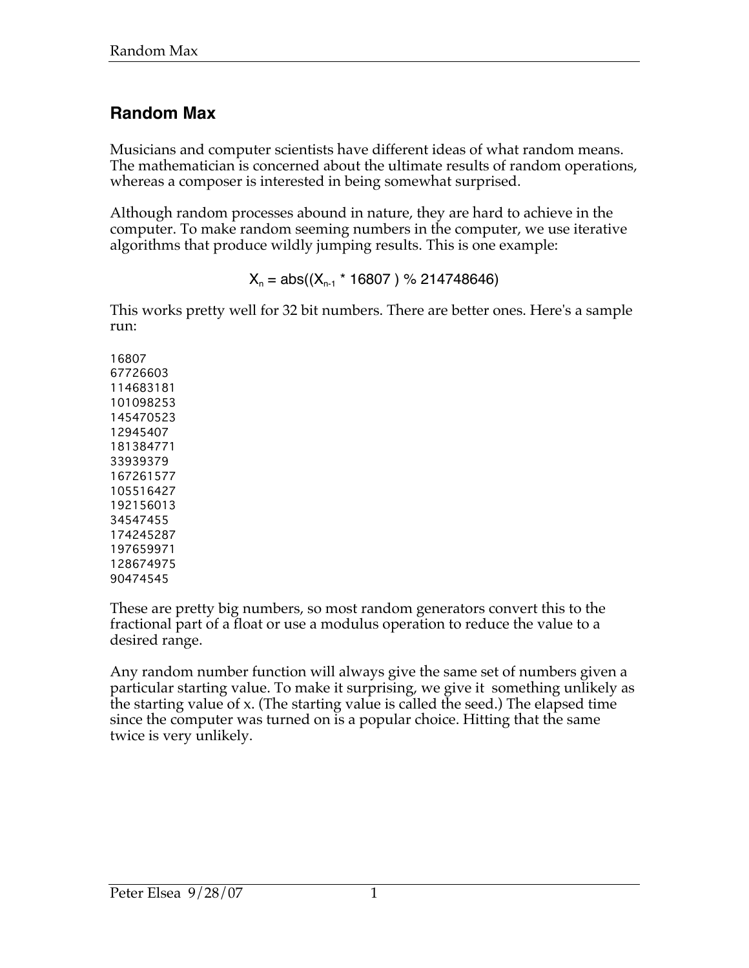# **Random Max**

Musicians and computer scientists have different ideas of what random means. The mathematician is concerned about the ultimate results of random operations, whereas a composer is interested in being somewhat surprised.

Although random processes abound in nature, they are hard to achieve in the computer. To make random seeming numbers in the computer, we use iterative algorithms that produce wildly jumping results. This is one example:

 $X_n = abs((X_{n-1} * 16807) % 214748646)$ 

This works pretty well for 32 bit numbers. There are better ones. Here's a sample run:

These are pretty big numbers, so most random generators convert this to the fractional part of a float or use a modulus operation to reduce the value to a desired range.

Any random number function will always give the same set of numbers given a particular starting value. To make it surprising, we give it something unlikely as the starting value of x. (The starting value is called the seed.) The elapsed time since the computer was turned on is a popular choice. Hitting that the same twice is very unlikely.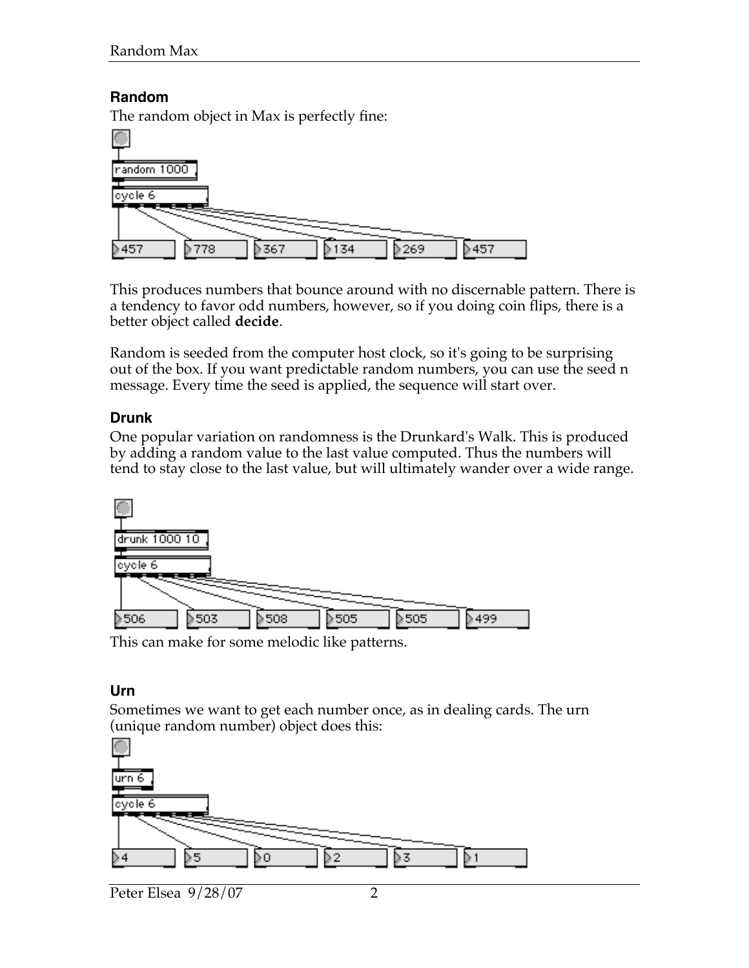## **Random**

The random object in Max is perfectly fine:



This produces numbers that bounce around with no discernable pattern. There is a tendency to favor odd numbers, however, so if you doing coin flips, there is a better object called **decide**.

Random is seeded from the computer host clock, so it's going to be surprising out of the box. If you want predictable random numbers, you can use the seed n message. Every time the seed is applied, the sequence will start over.

## **Drunk**

One popular variation on randomness is the Drunkard's Walk. This is produced by adding a random value to the last value computed. Thus the numbers will tend to stay close to the last value, but will ultimately wander over a wide range.



This can make for some melodic like patterns.

## **Urn**

Sometimes we want to get each number once, as in dealing cards. The urn (unique random number) object does this:

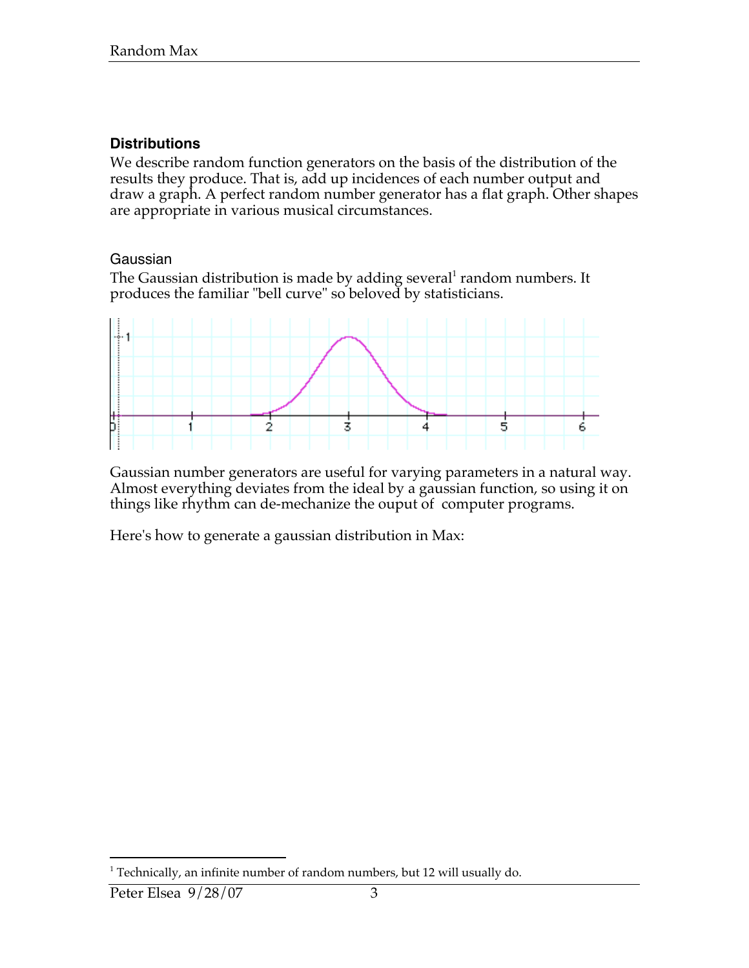#### **Distributions**

We describe random function generators on the basis of the distribution of the results they produce. That is, add up incidences of each number output and draw a graph. A perfect random number generator has a flat graph. Other shapes are appropriate in various musical circumstances.

#### Gaussian

The Gaussian distribution is made by adding several<sup>1</sup> random numbers. It produces the familiar "bell curve" so beloved by statisticians.



Gaussian number generators are useful for varying parameters in a natural way. Almost everything deviates from the ideal by a gaussian function, so using it on things like rhythm can de-mechanize the ouput of computer programs.

Here's how to generate a gaussian distribution in Max:

 $\overline{a}$  $1$  Technically, an infinite number of random numbers, but 12 will usually do.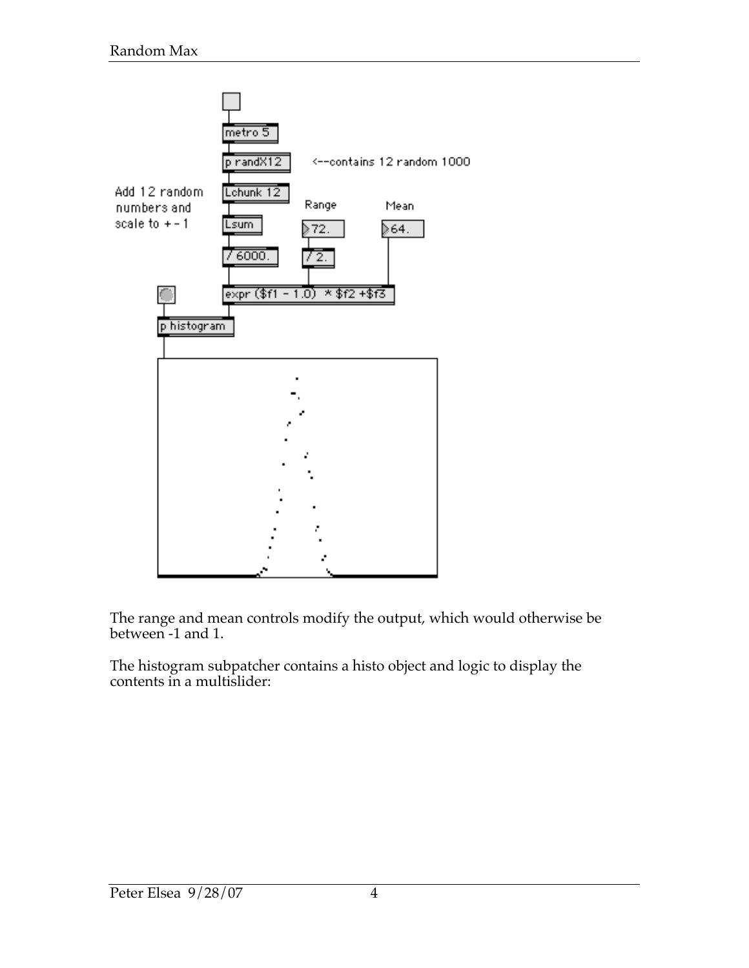

The range and mean controls modify the output, which would otherwise be between -1 and 1.

The histogram subpatcher contains a histo object and logic to display the contents in a multislider: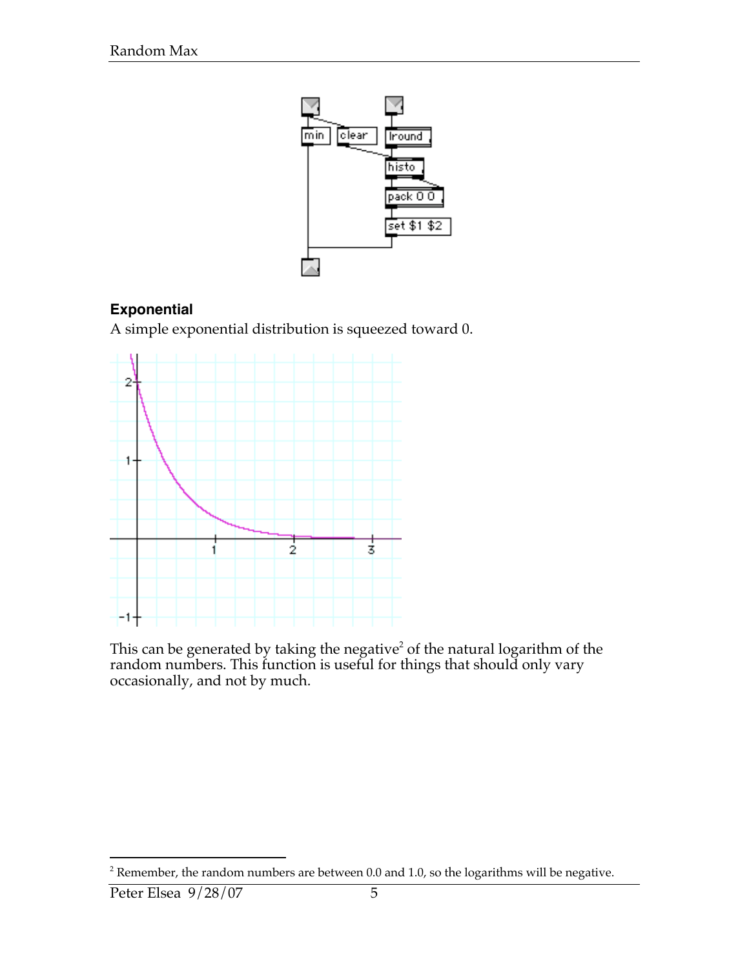

## **Exponential**

A simple exponential distribution is squeezed toward 0.



This can be generated by taking the negative<sup>2</sup> of the natural logarithm of the random numbers. This function is useful for things that should only vary occasionally, and not by much.

 $\overline{a}$ 

 $^2$  Remember, the random numbers are between 0.0 and 1.0, so the logarithms will be negative.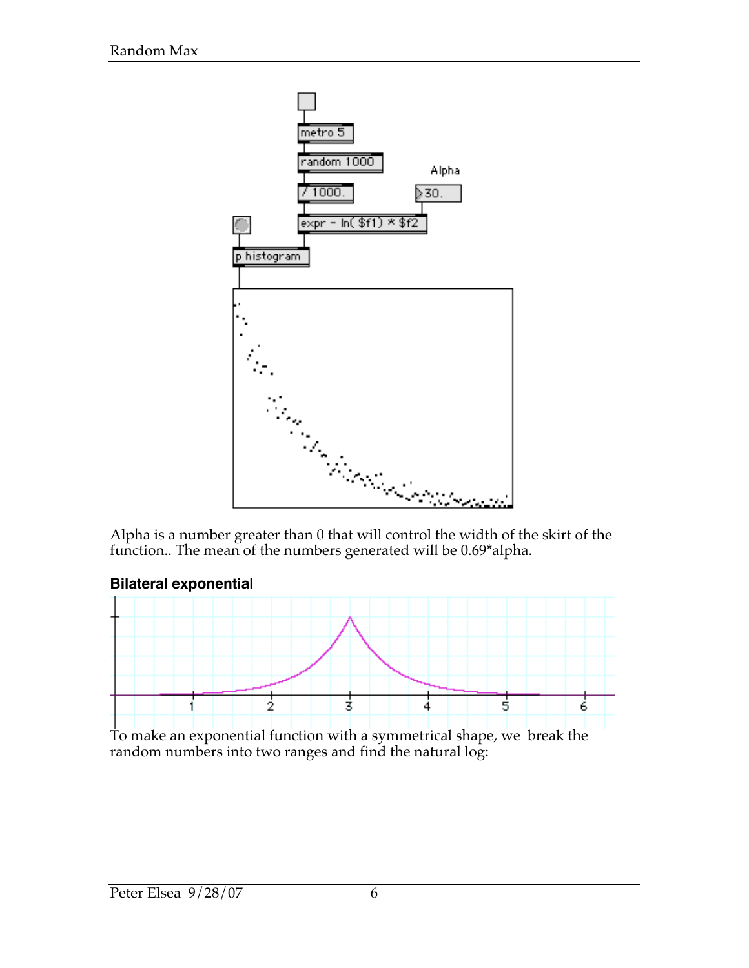

Alpha is a number greater than 0 that will control the width of the skirt of the function.. The mean of the numbers generated will be 0.69\*alpha.



To make an exponential function with a symmetrical shape, we break the random numbers into two ranges and find the natural log: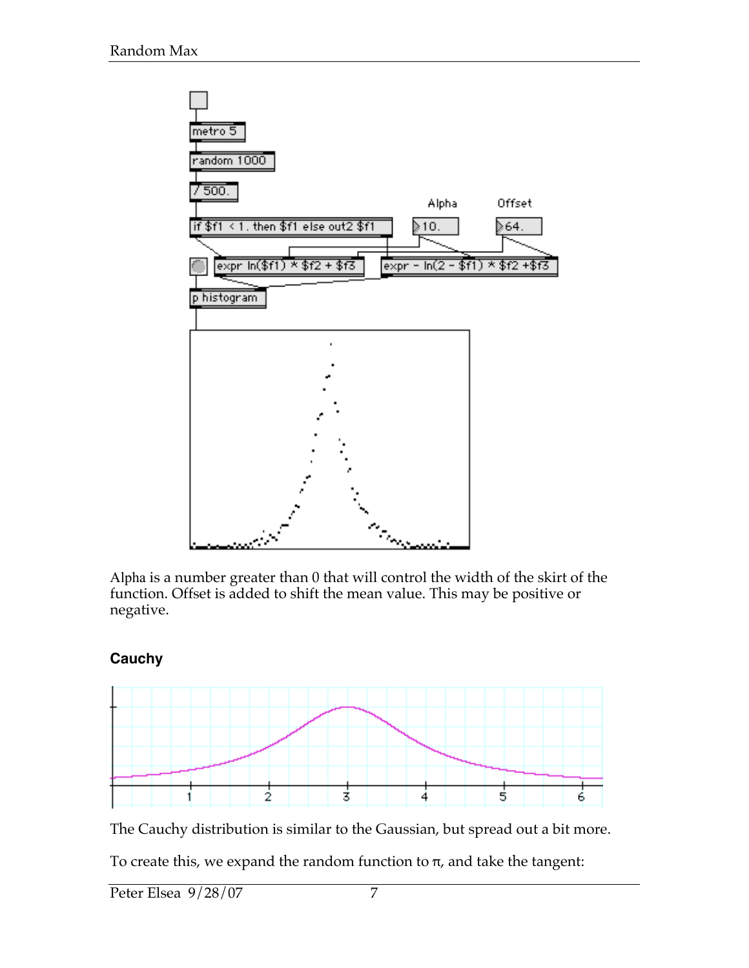

Alpha is a number greater than 0 that will control the width of the skirt of the function. Offset is added to shift the mean value. This may be positive or negative.

## **Cauchy**



The Cauchy distribution is similar to the Gaussian, but spread out a bit more.

To create this, we expand the random function to  $\pi$ , and take the tangent: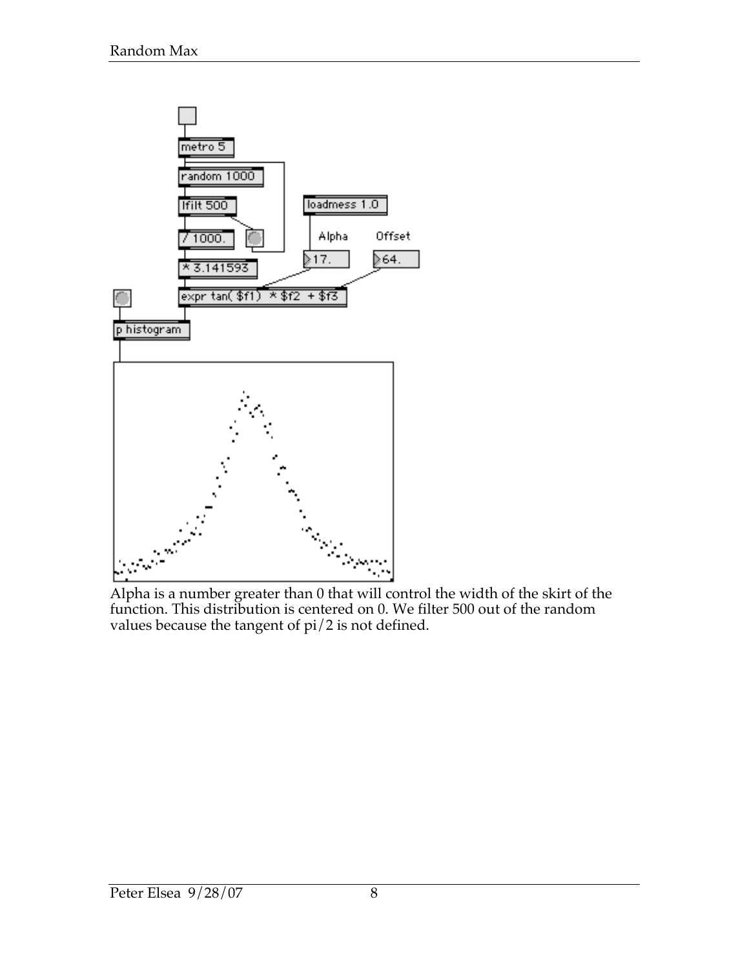

Alpha is a number greater than 0 that will control the width of the skirt of the function. This distribution is centered on 0. We filter 500 out of the random values because the tangent of pi/2 is not defined.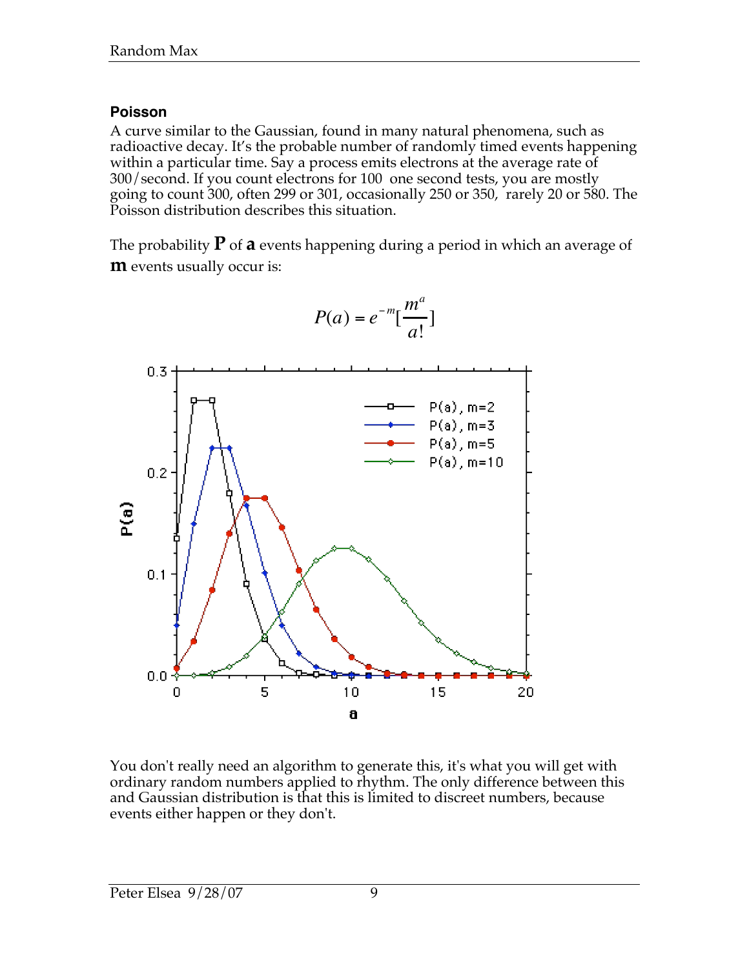## **Poisson**

A curve similar to the Gaussian, found in many natural phenomena, such as radioactive decay. It's the probable number of randomly timed events happening within a particular time. Say a process emits electrons at the average rate of 300/second. If you count electrons for 100 one second tests, you are mostly going to count 300, often 299 or 301, occasionally 250 or 350, rarely 20 or 580. The Poisson distribution describes this situation.

The probability  $P$  of **a** events happening during a period in which an average of **m** events usually occur is:



$$
P(a) = e^{-m} \left[ \frac{m^a}{a!} \right]
$$

You don't really need an algorithm to generate this, it's what you will get with ordinary random numbers applied to rhythm. The only difference between this and Gaussian distribution is that this is limited to discreet numbers, because events either happen or they don't.